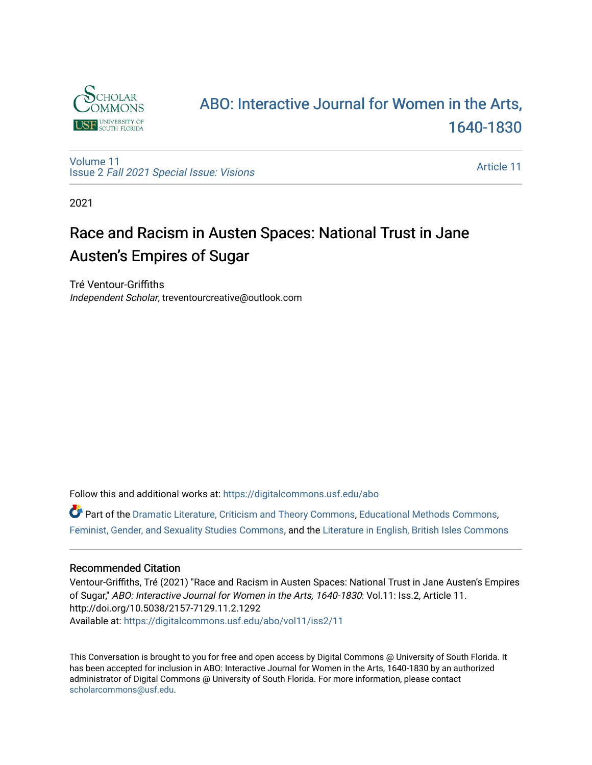

# [ABO: Interactive Journal for Women in the Arts,](https://digitalcommons.usf.edu/abo)  [1640-1830](https://digitalcommons.usf.edu/abo)

[Volume 11](https://digitalcommons.usf.edu/abo/vol11) Issue 2 [Fall 2021 Special Issue: Visions](https://digitalcommons.usf.edu/abo/vol11/iss2)

[Article 11](https://digitalcommons.usf.edu/abo/vol11/iss2/11) 

2021

# Race and Racism in Austen Spaces: National Trust in Jane Austen's Empires of Sugar

Tré Ventour-Griffiths Independent Scholar, treventourcreative@outlook.com

Follow this and additional works at: [https://digitalcommons.usf.edu/abo](https://digitalcommons.usf.edu/abo?utm_source=digitalcommons.usf.edu%2Fabo%2Fvol11%2Fiss2%2F11&utm_medium=PDF&utm_campaign=PDFCoverPages) 

Part of the [Dramatic Literature, Criticism and Theory Commons](http://network.bepress.com/hgg/discipline/555?utm_source=digitalcommons.usf.edu%2Fabo%2Fvol11%2Fiss2%2F11&utm_medium=PDF&utm_campaign=PDFCoverPages), [Educational Methods Commons](http://network.bepress.com/hgg/discipline/1227?utm_source=digitalcommons.usf.edu%2Fabo%2Fvol11%2Fiss2%2F11&utm_medium=PDF&utm_campaign=PDFCoverPages), [Feminist, Gender, and Sexuality Studies Commons,](http://network.bepress.com/hgg/discipline/559?utm_source=digitalcommons.usf.edu%2Fabo%2Fvol11%2Fiss2%2F11&utm_medium=PDF&utm_campaign=PDFCoverPages) and the [Literature in English, British Isles Commons](http://network.bepress.com/hgg/discipline/456?utm_source=digitalcommons.usf.edu%2Fabo%2Fvol11%2Fiss2%2F11&utm_medium=PDF&utm_campaign=PDFCoverPages)

#### Recommended Citation

Ventour-Griffiths, Tré (2021) "Race and Racism in Austen Spaces: National Trust in Jane Austen's Empires of Sugar," ABO: Interactive Journal for Women in the Arts, 1640-1830: Vol.11: Iss.2, Article 11. http://doi.org/10.5038/2157-7129.11.2.1292 Available at: [https://digitalcommons.usf.edu/abo/vol11/iss2/11](https://digitalcommons.usf.edu/abo/vol11/iss2/11?utm_source=digitalcommons.usf.edu%2Fabo%2Fvol11%2Fiss2%2F11&utm_medium=PDF&utm_campaign=PDFCoverPages)

This Conversation is brought to you for free and open access by Digital Commons @ University of South Florida. It has been accepted for inclusion in ABO: Interactive Journal for Women in the Arts, 1640-1830 by an authorized administrator of Digital Commons @ University of South Florida. For more information, please contact [scholarcommons@usf.edu.](mailto:scholarcommons@usf.edu)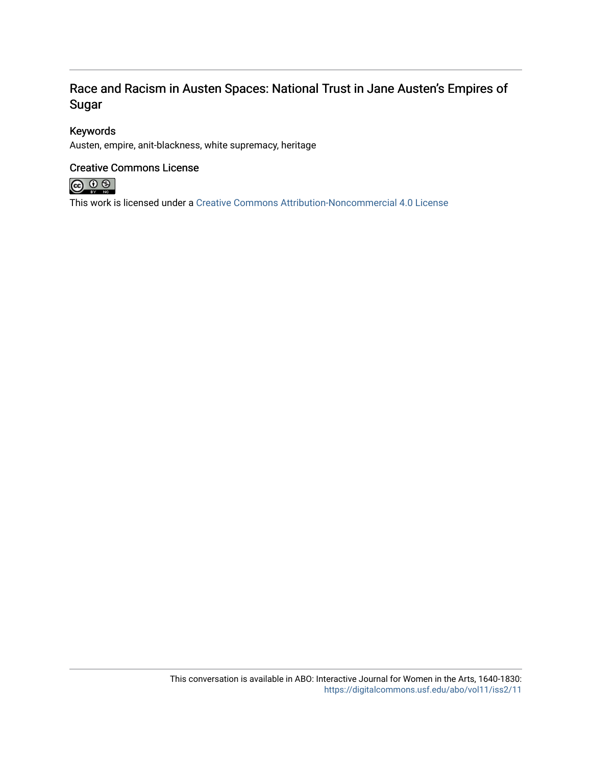## Race and Racism in Austen Spaces: National Trust in Jane Austen's Empires of Sugar

### Keywords

Austen, empire, anit-blackness, white supremacy, heritage

### Creative Commons License



This work is licensed under a [Creative Commons Attribution-Noncommercial 4.0 License](https://creativecommons.org/licenses/by-nc/4.0/)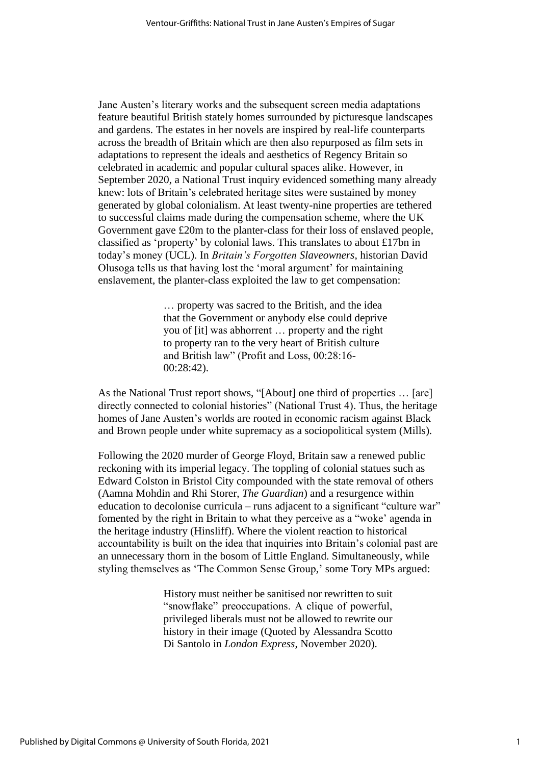Jane Austen's literary works and the subsequent screen media adaptations feature beautiful British stately homes surrounded by picturesque landscapes and gardens. The estates in her novels are inspired by real-life counterparts across the breadth of Britain which are then also repurposed as film sets in adaptations to represent the ideals and aesthetics of Regency Britain so celebrated in academic and popular cultural spaces alike. However, in September 2020, a National Trust inquiry evidenced something many already knew: lots of Britain's celebrated heritage sites were sustained by money generated by global colonialism. At least twenty-nine properties are tethered to successful claims made during the compensation scheme, where the UK Government gave £20m to the planter-class for their loss of enslaved people, classified as 'property' by colonial laws. This translates to about £17bn in today's money (UCL). In *Britain's Forgotten Slaveowners*, historian David Olusoga tells us that having lost the 'moral argument' for maintaining enslavement, the planter-class exploited the law to get compensation:

> … property was sacred to the British, and the idea that the Government or anybody else could deprive you of [it] was abhorrent … property and the right to property ran to the very heart of British culture and British law" (Profit and Loss, 00:28:16- 00:28:42).

As the National Trust report shows, "[About] one third of properties … [are] directly connected to colonial histories" (National Trust 4). Thus, the heritage homes of Jane Austen's worlds are rooted in economic racism against Black and Brown people under white supremacy as a sociopolitical system (Mills).

Following the 2020 murder of George Floyd, Britain saw a renewed public reckoning with its imperial legacy. The toppling of colonial statues such as Edward Colston in Bristol City compounded with the state removal of others (Aamna Mohdin and Rhi Storer, *The Guardian*) and a resurgence within education to decolonise curricula – runs adjacent to a significant "culture war" fomented by the right in Britain to what they perceive as a "woke' agenda in the heritage industry (Hinsliff). Where the violent reaction to historical accountability is built on the idea that inquiries into Britain's colonial past are an unnecessary thorn in the bosom of Little England. Simultaneously, while styling themselves as 'The Common Sense Group,' some Tory MPs argued:

> History must neither be sanitised nor rewritten to suit "snowflake" preoccupations. A clique of powerful, privileged liberals must not be allowed to rewrite our history in their image (Quoted by Alessandra Scotto Di Santolo in *London Express*, November 2020).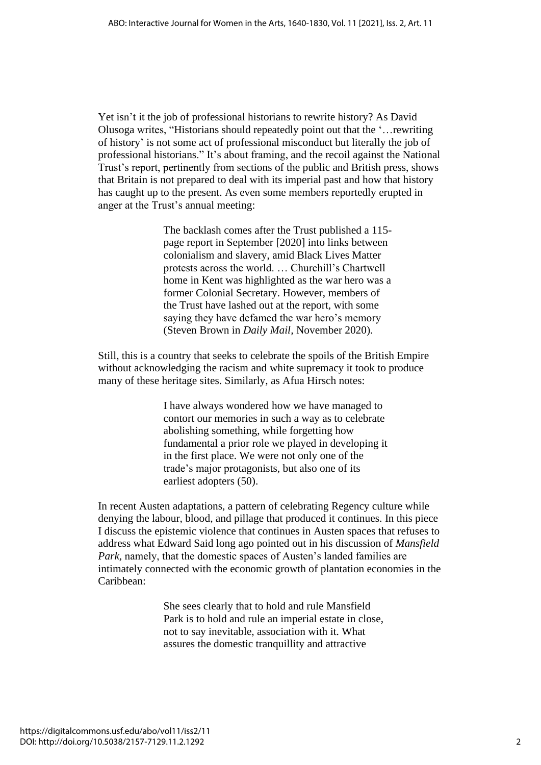Yet isn't it the job of professional historians to rewrite history? As David Olusoga writes, "Historians should repeatedly point out that the '…rewriting of history' is not some act of professional misconduct but literally the job of professional historians." It's about framing, and the recoil against the National Trust's report, pertinently from sections of the public and British press, shows that Britain is not prepared to deal with its imperial past and how that history has caught up to the present. As even some members reportedly erupted in anger at the Trust's annual meeting:

> The backlash comes after the Trust published a 115 page report in September [2020] into links between colonialism and slavery, amid Black Lives Matter protests across the world. … Churchill's Chartwell home in Kent was highlighted as the war hero was a former Colonial Secretary. However, members of the Trust have lashed out at the report, with some saying they have defamed the war hero's memory (Steven Brown in *Daily Mail,* November 2020).

Still, this is a country that seeks to celebrate the spoils of the British Empire without acknowledging the racism and white supremacy it took to produce many of these heritage sites. Similarly, as Afua Hirsch notes:

> I have always wondered how we have managed to contort our memories in such a way as to celebrate abolishing something, while forgetting how fundamental a prior role we played in developing it in the first place. We were not only one of the trade's major protagonists, but also one of its earliest adopters (50).

In recent Austen adaptations, a pattern of celebrating Regency culture while denying the labour, blood, and pillage that produced it continues. In this piece I discuss the epistemic violence that continues in Austen spaces that refuses to address what Edward Said long ago pointed out in his discussion of *Mansfield Park, namely, that the domestic spaces of Austen's landed families are* intimately connected with the economic growth of plantation economies in the Caribbean:

> She sees clearly that to hold and rule Mansfield Park is to hold and rule an imperial estate in close, not to say inevitable, association with it. What assures the domestic tranquillity and attractive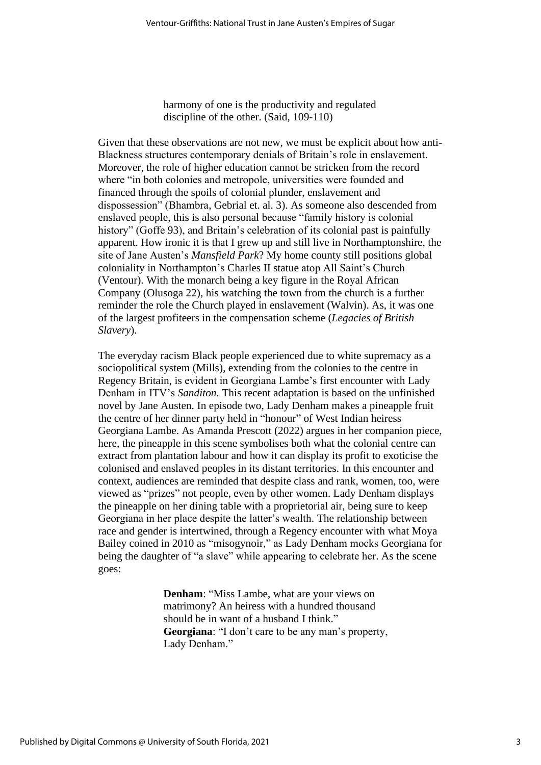harmony of one is the productivity and regulated discipline of the other. (Said, 109-110)

Given that these observations are not new, we must be explicit about how anti-Blackness structures contemporary denials of Britain's role in enslavement. Moreover, the role of higher education cannot be stricken from the record where "in both colonies and metropole, universities were founded and financed through the spoils of colonial plunder, enslavement and dispossession" (Bhambra, Gebrial et. al. 3). As someone also descended from enslaved people, this is also personal because "family history is colonial history" (Goffe 93), and Britain's celebration of its colonial past is painfully apparent. How ironic it is that I grew up and still live in Northamptonshire, the site of Jane Austen's *Mansfield Park*? My home county still positions global coloniality in Northampton's Charles II statue atop All Saint's Church (Ventour). With the monarch being a key figure in the Royal African Company (Olusoga 22), his watching the town from the church is a further reminder the role the Church played in enslavement (Walvin). As, it was one of the largest profiteers in the compensation scheme (*Legacies of British Slavery*).

The everyday racism Black people experienced due to white supremacy as a sociopolitical system (Mills), extending from the colonies to the centre in Regency Britain, is evident in Georgiana Lambe's first encounter with Lady Denham in ITV's *Sanditon.* This recent adaptation is based on the unfinished novel by Jane Austen. In episode two, Lady Denham makes a pineapple fruit the centre of her dinner party held in "honour" of West Indian heiress Georgiana Lambe. As Amanda Prescott (2022) argues in her companion piece, here, the pineapple in this scene symbolises both what the colonial centre can extract from plantation labour and how it can display its profit to exoticise the colonised and enslaved peoples in its distant territories. In this encounter and context, audiences are reminded that despite class and rank, women, too, were viewed as "prizes" not people, even by other women. Lady Denham displays the pineapple on her dining table with a proprietorial air, being sure to keep Georgiana in her place despite the latter's wealth. The relationship between race and gender is intertwined, through a Regency encounter with what Moya Bailey coined in 2010 as "misogynoir," as Lady Denham mocks Georgiana for being the daughter of "a slave" while appearing to celebrate her. As the scene goes:

> **Denham**: "Miss Lambe, what are your views on matrimony? An heiress with a hundred thousand should be in want of a husband I think." **Georgiana**: "I don't care to be any man's property, Lady Denham."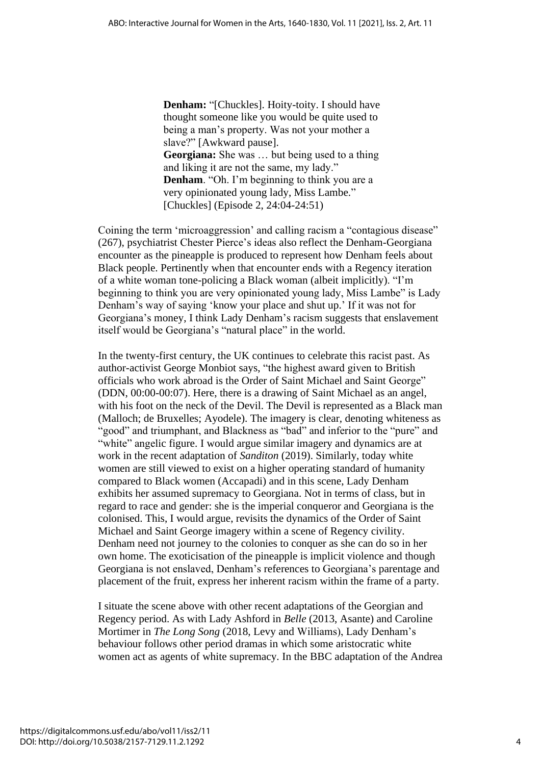**Denham:** "[Chuckles]. Hoity-toity. I should have thought someone like you would be quite used to being a man's property. Was not your mother a slave?" [Awkward pause]. **Georgiana:** She was … but being used to a thing and liking it are not the same, my lady." **Denham**. "Oh. I'm beginning to think you are a very opinionated young lady, Miss Lambe." [Chuckles] (Episode 2, 24:04-24:51)

Coining the term 'microaggression' and calling racism a "contagious disease" (267), psychiatrist Chester Pierce's ideas also reflect the Denham-Georgiana encounter as the pineapple is produced to represent how Denham feels about Black people. Pertinently when that encounter ends with a Regency iteration of a white woman tone-policing a Black woman (albeit implicitly). "I'm beginning to think you are very opinionated young lady, Miss Lambe" is Lady Denham's way of saying 'know your place and shut up.' If it was not for Georgiana's money, I think Lady Denham's racism suggests that enslavement itself would be Georgiana's "natural place" in the world.

In the twenty-first century, the UK continues to celebrate this racist past. As author-activist George Monbiot says, "the highest award given to British officials who work abroad is the Order of Saint Michael and Saint George" (DDN, 00:00-00:07). Here, there is a drawing of Saint Michael as an angel, with his foot on the neck of the Devil. The Devil is represented as a Black man (Malloch; de Bruxelles; Ayodele). The imagery is clear, denoting whiteness as "good" and triumphant, and Blackness as "bad" and inferior to the "pure" and "white" angelic figure. I would argue similar imagery and dynamics are at work in the recent adaptation of *Sanditon* (2019). Similarly, today white women are still viewed to exist on a higher operating standard of humanity compared to Black women (Accapadi) and in this scene, Lady Denham exhibits her assumed supremacy to Georgiana. Not in terms of class, but in regard to race and gender: she is the imperial conqueror and Georgiana is the colonised. This, I would argue, revisits the dynamics of the Order of Saint Michael and Saint George imagery within a scene of Regency civility. Denham need not journey to the colonies to conquer as she can do so in her own home. The exoticisation of the pineapple is implicit violence and though Georgiana is not enslaved, Denham's references to Georgiana's parentage and placement of the fruit, express her inherent racism within the frame of a party.

I situate the scene above with other recent adaptations of the Georgian and Regency period. As with Lady Ashford in *Belle* (2013, Asante) and Caroline Mortimer in *The Long Song* (2018, Levy and Williams), Lady Denham's behaviour follows other period dramas in which some aristocratic white women act as agents of white supremacy. In the BBC adaptation of the Andrea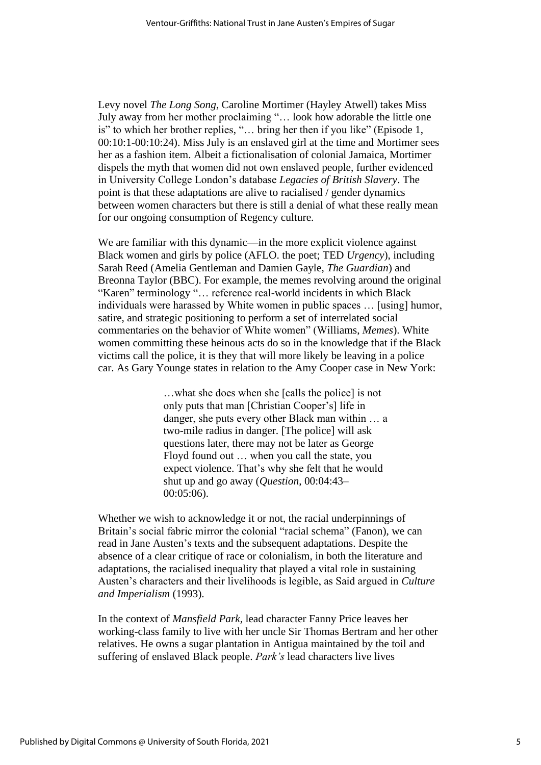Levy novel *The Long Song*, Caroline Mortimer (Hayley Atwell) takes Miss July away from her mother proclaiming "… look how adorable the little one is" to which her brother replies, "… bring her then if you like" (Episode 1, 00:10:1-00:10:24). Miss July is an enslaved girl at the time and Mortimer sees her as a fashion item. Albeit a fictionalisation of colonial Jamaica, Mortimer dispels the myth that women did not own enslaved people, further evidenced in University College London's database *Legacies of British Slavery*. The point is that these adaptations are alive to racialised / gender dynamics between women characters but there is still a denial of what these really mean for our ongoing consumption of Regency culture.

We are familiar with this dynamic—in the more explicit violence against Black women and girls by police (AFLO. the poet; TED *Urgency*), including Sarah Reed (Amelia Gentleman and Damien Gayle, *The Guardian*) and Breonna Taylor (BBC). For example, the memes revolving around the original "Karen" terminology "… reference real-world incidents in which Black individuals were harassed by White women in public spaces … [using] humor, satire, and strategic positioning to perform a set of interrelated social commentaries on the behavior of White women" (Williams, *Memes*). White women committing these heinous acts do so in the knowledge that if the Black victims call the police, it is they that will more likely be leaving in a police car. As Gary Younge states in relation to the Amy Cooper case in New York:

> …what she does when she [calls the police] is not only puts that man [Christian Cooper's] life in danger, she puts every other Black man within … a two-mile radius in danger. [The police] will ask questions later, there may not be later as George Floyd found out … when you call the state, you expect violence. That's why she felt that he would shut up and go away (*Question*, 00:04:43– 00:05:06).

Whether we wish to acknowledge it or not, the racial underpinnings of Britain's social fabric mirror the colonial "racial schema" (Fanon), we can read in Jane Austen's texts and the subsequent adaptations. Despite the absence of a clear critique of race or colonialism, in both the literature and adaptations, the racialised inequality that played a vital role in sustaining Austen's characters and their livelihoods is legible, as Said argued in *Culture and Imperialism* (1993).

In the context of *Mansfield Park*, lead character Fanny Price leaves her working-class family to live with her uncle Sir Thomas Bertram and her other relatives. He owns a sugar plantation in Antigua maintained by the toil and suffering of enslaved Black people. *Park's* lead characters live lives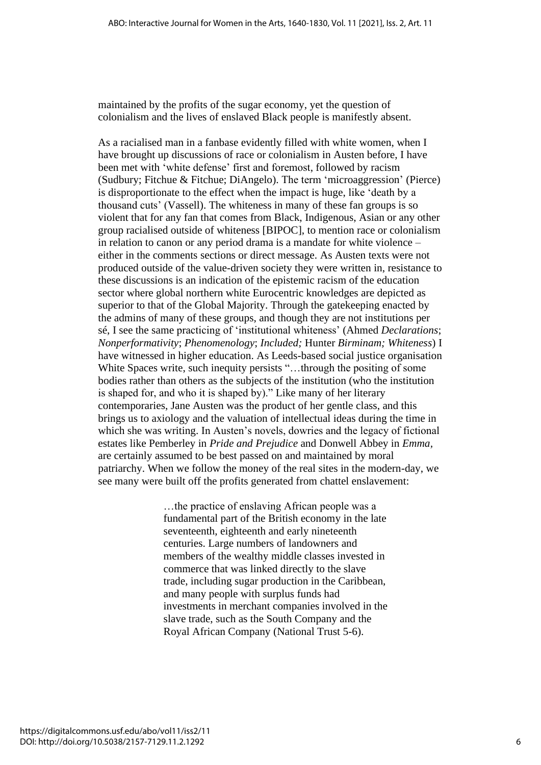maintained by the profits of the sugar economy, yet the question of colonialism and the lives of enslaved Black people is manifestly absent.

As a racialised man in a fanbase evidently filled with white women, when I have brought up discussions of race or colonialism in Austen before, I have been met with 'white defense' first and foremost, followed by racism (Sudbury; Fitchue & Fitchue; DiAngelo). The term 'microaggression' (Pierce) is disproportionate to the effect when the impact is huge, like 'death by a thousand cuts' (Vassell). The whiteness in many of these fan groups is so violent that for any fan that comes from Black, Indigenous, Asian or any other group racialised outside of whiteness [BIPOC], to mention race or colonialism in relation to canon or any period drama is a mandate for white violence – either in the comments sections or direct message. As Austen texts were not produced outside of the value-driven society they were written in, resistance to these discussions is an indication of the epistemic racism of the education sector where global northern white Eurocentric knowledges are depicted as superior to that of the Global Majority. Through the gatekeeping enacted by the admins of many of these groups, and though they are not institutions per sé, I see the same practicing of 'institutional whiteness' (Ahmed *Declarations*; *Nonperformativity*; *Phenomenology*; *Included;* Hunter *Birminam; Whiteness*) I have witnessed in higher education. As Leeds-based social justice organisation White Spaces write, such inequity persists "...through the positing of some bodies rather than others as the subjects of the institution (who the institution is shaped for, and who it is shaped by)." Like many of her literary contemporaries, Jane Austen was the product of her gentle class, and this brings us to axiology and the valuation of intellectual ideas during the time in which she was writing. In Austen's novels, dowries and the legacy of fictional estates like Pemberley in *Pride and Prejudice* and Donwell Abbey in *Emma,*  are certainly assumed to be best passed on and maintained by moral patriarchy. When we follow the money of the real sites in the modern-day, we see many were built off the profits generated from chattel enslavement:

> …the practice of enslaving African people was a fundamental part of the British economy in the late seventeenth, eighteenth and early nineteenth centuries. Large numbers of landowners and members of the wealthy middle classes invested in commerce that was linked directly to the slave trade, including sugar production in the Caribbean, and many people with surplus funds had investments in merchant companies involved in the slave trade, such as the South Company and the Royal African Company (National Trust 5-6).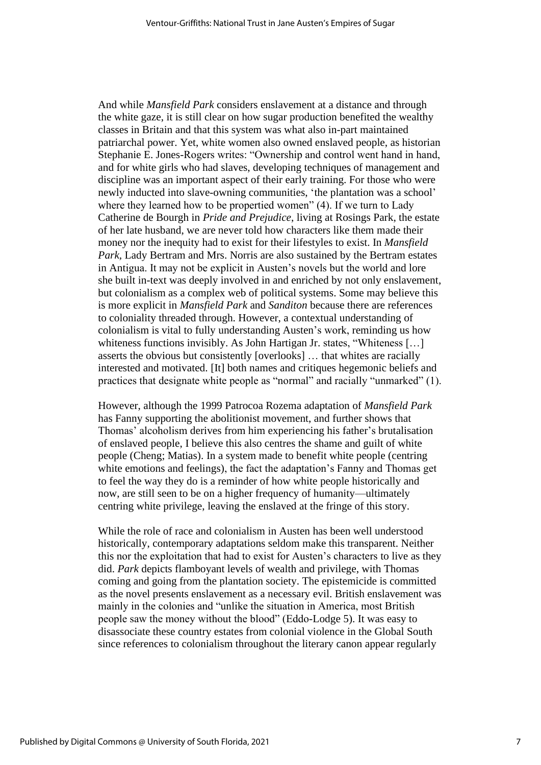And while *Mansfield Park* considers enslavement at a distance and through the white gaze, it is still clear on how sugar production benefited the wealthy classes in Britain and that this system was what also in-part maintained patriarchal power. Yet, white women also owned enslaved people, as historian Stephanie E. Jones-Rogers writes: "Ownership and control went hand in hand, and for white girls who had slaves, developing techniques of management and discipline was an important aspect of their early training. For those who were newly inducted into slave-owning communities, 'the plantation was a school' where they learned how to be propertied women" (4). If we turn to Lady Catherine de Bourgh in *Pride and Prejudice*, living at Rosings Park, the estate of her late husband, we are never told how characters like them made their money nor the inequity had to exist for their lifestyles to exist. In *Mansfield Park,* Lady Bertram and Mrs. Norris are also sustained by the Bertram estates in Antigua. It may not be explicit in Austen's novels but the world and lore she built in-text was deeply involved in and enriched by not only enslavement, but colonialism as a complex web of political systems. Some may believe this is more explicit in *Mansfield Park* and *Sanditon* because there are references to coloniality threaded through. However, a contextual understanding of colonialism is vital to fully understanding Austen's work, reminding us how whiteness functions invisibly. As John Hartigan Jr. states, "Whiteness [...] asserts the obvious but consistently [overlooks] … that whites are racially interested and motivated. [It] both names and critiques hegemonic beliefs and practices that designate white people as "normal" and racially "unmarked" (1).

However, although the 1999 Patrocoa Rozema adaptation of *Mansfield Park*  has Fanny supporting the abolitionist movement, and further shows that Thomas' alcoholism derives from him experiencing his father's brutalisation of enslaved people, I believe this also centres the shame and guilt of white people (Cheng; Matias). In a system made to benefit white people (centring white emotions and feelings), the fact the adaptation's Fanny and Thomas get to feel the way they do is a reminder of how white people historically and now, are still seen to be on a higher frequency of humanity—ultimately centring white privilege, leaving the enslaved at the fringe of this story.

While the role of race and colonialism in Austen has been well understood historically, contemporary adaptations seldom make this transparent. Neither this nor the exploitation that had to exist for Austen's characters to live as they did. *Park* depicts flamboyant levels of wealth and privilege, with Thomas coming and going from the plantation society. The epistemicide is committed as the novel presents enslavement as a necessary evil. British enslavement was mainly in the colonies and "unlike the situation in America, most British people saw the money without the blood" (Eddo-Lodge 5). It was easy to disassociate these country estates from colonial violence in the Global South since references to colonialism throughout the literary canon appear regularly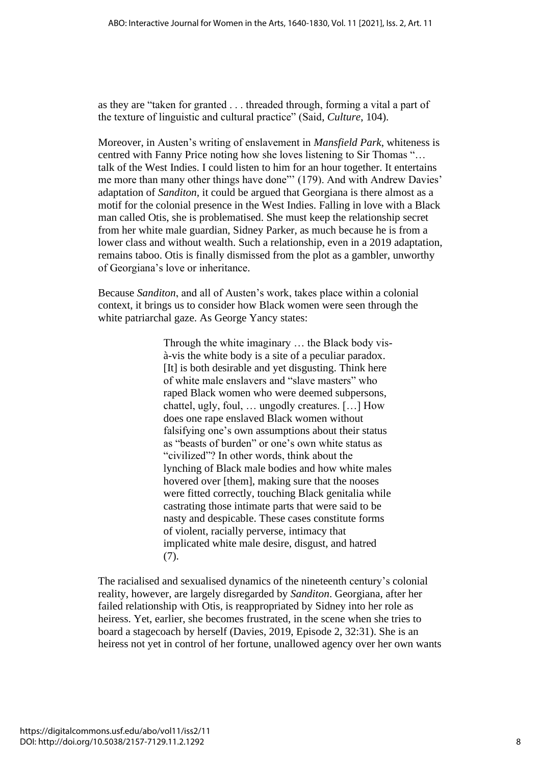as they are "taken for granted . . . threaded through, forming a vital a part of the texture of linguistic and cultural practice" (Said, *Culture*, 104).

Moreover, in Austen's writing of enslavement in *Mansfield Park*, whiteness is centred with Fanny Price noting how she loves listening to Sir Thomas "… talk of the West Indies. I could listen to him for an hour together. It entertains me more than many other things have done"' (179). And with Andrew Davies' adaptation of *Sanditon,* it could be argued that Georgiana is there almost as a motif for the colonial presence in the West Indies. Falling in love with a Black man called Otis, she is problematised. She must keep the relationship secret from her white male guardian, Sidney Parker, as much because he is from a lower class and without wealth. Such a relationship, even in a 2019 adaptation, remains taboo. Otis is finally dismissed from the plot as a gambler, unworthy of Georgiana's love or inheritance.

Because *Sanditon*, and all of Austen's work, takes place within a colonial context, it brings us to consider how Black women were seen through the white patriarchal gaze. As George Yancy states:

> Through the white imaginary … the Black body visà-vis the white body is a site of a peculiar paradox. [It] is both desirable and yet disgusting. Think here of white male enslavers and "slave masters" who raped Black women who were deemed subpersons, chattel, ugly, foul, … ungodly creatures. […] How does one rape enslaved Black women without falsifying one's own assumptions about their status as "beasts of burden" or one's own white status as "civilized"? In other words, think about the lynching of Black male bodies and how white males hovered over [them], making sure that the nooses were fitted correctly, touching Black genitalia while castrating those intimate parts that were said to be nasty and despicable. These cases constitute forms of violent, racially perverse, intimacy that implicated white male desire, disgust, and hatred (7).

The racialised and sexualised dynamics of the nineteenth century's colonial reality, however, are largely disregarded by *Sanditon*. Georgiana, after her failed relationship with Otis, is reappropriated by Sidney into her role as heiress. Yet, earlier, she becomes frustrated, in the scene when she tries to board a stagecoach by herself (Davies, 2019, Episode 2, 32:31). She is an heiress not yet in control of her fortune, unallowed agency over her own wants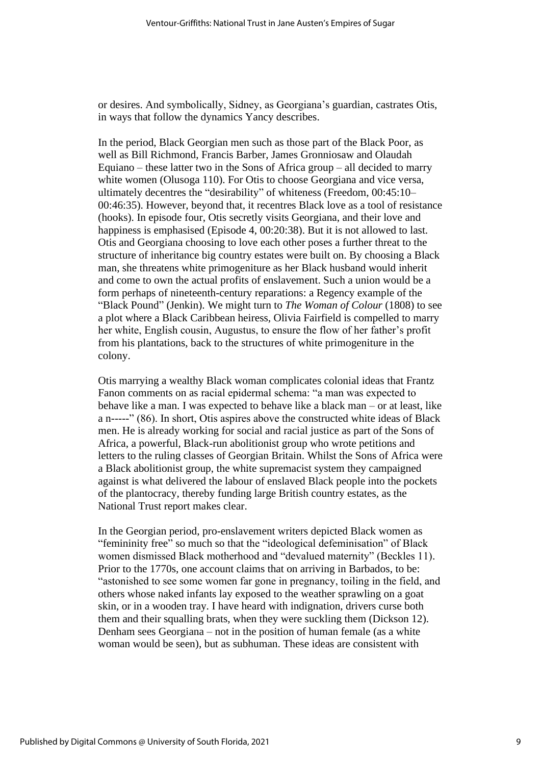or desires. And symbolically, Sidney, as Georgiana's guardian, castrates Otis, in ways that follow the dynamics Yancy describes.

In the period, Black Georgian men such as those part of the Black Poor, as well as Bill Richmond, Francis Barber, James Gronniosaw and Olaudah Equiano – these latter two in the Sons of Africa group – all decided to marry white women (Olusoga 110). For Otis to choose Georgiana and vice versa, ultimately decentres the "desirability" of whiteness (Freedom, 00:45:10– 00:46:35). However, beyond that, it recentres Black love as a tool of resistance (hooks). In episode four, Otis secretly visits Georgiana, and their love and happiness is emphasised (Episode 4, 00:20:38). But it is not allowed to last. Otis and Georgiana choosing to love each other poses a further threat to the structure of inheritance big country estates were built on. By choosing a Black man, she threatens white primogeniture as her Black husband would inherit and come to own the actual profits of enslavement. Such a union would be a form perhaps of nineteenth-century reparations: a Regency example of the "Black Pound" (Jenkin). We might turn to *The Woman of Colour* (1808) to see a plot where a Black Caribbean heiress, Olivia Fairfield is compelled to marry her white, English cousin, Augustus, to ensure the flow of her father's profit from his plantations, back to the structures of white primogeniture in the colony.

Otis marrying a wealthy Black woman complicates colonial ideas that Frantz Fanon comments on as racial epidermal schema: "a man was expected to behave like a man. I was expected to behave like a black man – or at least, like a n-----" (86). In short, Otis aspires above the constructed white ideas of Black men. He is already working for social and racial justice as part of the Sons of Africa, a powerful, Black-run abolitionist group who wrote petitions and letters to the ruling classes of Georgian Britain. Whilst the Sons of Africa were a Black abolitionist group, the white supremacist system they campaigned against is what delivered the labour of enslaved Black people into the pockets of the plantocracy, thereby funding large British country estates, as the National Trust report makes clear.

In the Georgian period, pro-enslavement writers depicted Black women as "femininity free" so much so that the "ideological defeminisation" of Black women dismissed Black motherhood and "devalued maternity" (Beckles 11). Prior to the 1770s, one account claims that on arriving in Barbados, to be: "astonished to see some women far gone in pregnancy, toiling in the field, and others whose naked infants lay exposed to the weather sprawling on a goat skin, or in a wooden tray. I have heard with indignation, drivers curse both them and their squalling brats, when they were suckling them (Dickson 12). Denham sees Georgiana – not in the position of human female (as a white woman would be seen), but as subhuman. These ideas are consistent with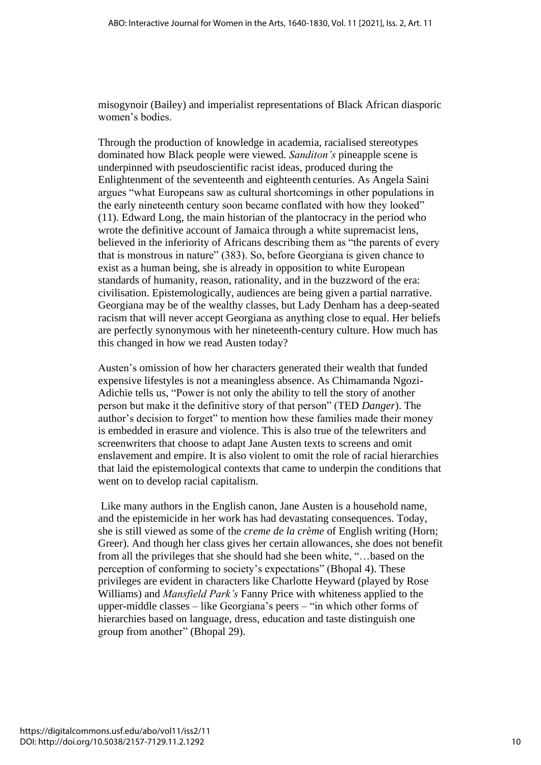misogynoir (Bailey) and imperialist representations of Black African diasporic women's bodies.

Through the production of knowledge in academia, racialised stereotypes dominated how Black people were viewed. *Sanditon's* pineapple scene is underpinned with pseudoscientific racist ideas, produced during the Enlightenment of the seventeenth and eighteenth centuries. As Angela Saini argues "what Europeans saw as cultural shortcomings in other populations in the early nineteenth century soon became conflated with how they looked" (11). Edward Long, the main historian of the plantocracy in the period who wrote the definitive account of Jamaica through a white supremacist lens, believed in the inferiority of Africans describing them as "the parents of every that is monstrous in nature" (383). So, before Georgiana is given chance to exist as a human being, she is already in opposition to white European standards of humanity, reason, rationality, and in the buzzword of the era: civilisation. Epistemologically, audiences are being given a partial narrative. Georgiana may be of the wealthy classes, but Lady Denham has a deep-seated racism that will never accept Georgiana as anything close to equal. Her beliefs are perfectly synonymous with her nineteenth-century culture. How much has this changed in how we read Austen today?

Austen's omission of how her characters generated their wealth that funded expensive lifestyles is not a meaningless absence. As Chimamanda Ngozi-Adichie tells us, "Power is not only the ability to tell the story of another person but make it the definitive story of that person" (TED *Danger*). The author's decision to forget" to mention how these families made their money is embedded in erasure and violence. This is also true of the telewriters and screenwriters that choose to adapt Jane Austen texts to screens and omit enslavement and empire. It is also violent to omit the role of racial hierarchies that laid the epistemological contexts that came to underpin the conditions that went on to develop racial capitalism.

Like many authors in the English canon, Jane Austen is a household name, and the epistemicide in her work has had devastating consequences. Today, she is still viewed as some of the *creme de la crème* of English writing (Horn; Greer). And though her class gives her certain allowances, she does not benefit from all the privileges that she should had she been white, "…based on the perception of conforming to society's expectations" (Bhopal 4). These privileges are evident in characters like Charlotte Heyward (played by Rose Williams) and *Mansfield Park's* Fanny Price with whiteness applied to the upper-middle classes – like Georgiana's peers – "in which other forms of hierarchies based on language, dress, education and taste distinguish one group from another" (Bhopal 29).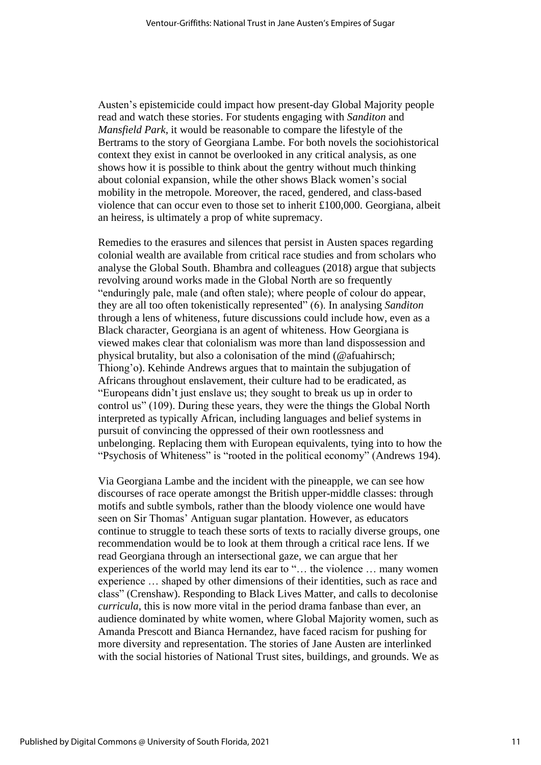Austen's epistemicide could impact how present-day Global Majority people read and watch these stories. For students engaging with *Sanditon* and *Mansfield Park*, it would be reasonable to compare the lifestyle of the Bertrams to the story of Georgiana Lambe. For both novels the sociohistorical context they exist in cannot be overlooked in any critical analysis, as one shows how it is possible to think about the gentry without much thinking about colonial expansion, while the other shows Black women's social mobility in the metropole. Moreover, the raced, gendered, and class-based violence that can occur even to those set to inherit £100,000. Georgiana, albeit an heiress, is ultimately a prop of white supremacy.

Remedies to the erasures and silences that persist in Austen spaces regarding colonial wealth are available from critical race studies and from scholars who analyse the Global South. Bhambra and colleagues (2018) argue that subjects revolving around works made in the Global North are so frequently "enduringly pale, male (and often stale); where people of colour do appear, they are all too often tokenistically represented" (6). In analysing *Sanditon*  through a lens of whiteness, future discussions could include how, even as a Black character, Georgiana is an agent of whiteness. How Georgiana is viewed makes clear that colonialism was more than land dispossession and physical brutality, but also a colonisation of the mind (@afuahirsch; Thiong'o). Kehinde Andrews argues that to maintain the subjugation of Africans throughout enslavement, their culture had to be eradicated, as "Europeans didn't just enslave us; they sought to break us up in order to control us" (109). During these years, they were the things the Global North interpreted as typically African, including languages and belief systems in pursuit of convincing the oppressed of their own rootlessness and unbelonging. Replacing them with European equivalents, tying into to how the "Psychosis of Whiteness" is "rooted in the political economy" (Andrews 194).

Via Georgiana Lambe and the incident with the pineapple, we can see how discourses of race operate amongst the British upper-middle classes: through motifs and subtle symbols, rather than the bloody violence one would have seen on Sir Thomas' Antiguan sugar plantation. However, as educators continue to struggle to teach these sorts of texts to racially diverse groups, one recommendation would be to look at them through a critical race lens. If we read Georgiana through an intersectional gaze, we can argue that her experiences of the world may lend its ear to "… the violence … many women experience … shaped by other dimensions of their identities, such as race and class" (Crenshaw). Responding to Black Lives Matter, and calls to decolonise *curricula*, this is now more vital in the period drama fanbase than ever, an audience dominated by white women, where Global Majority women, such as Amanda Prescott and Bianca Hernandez, have faced racism for pushing for more diversity and representation. The stories of Jane Austen are interlinked with the social histories of National Trust sites, buildings, and grounds. We as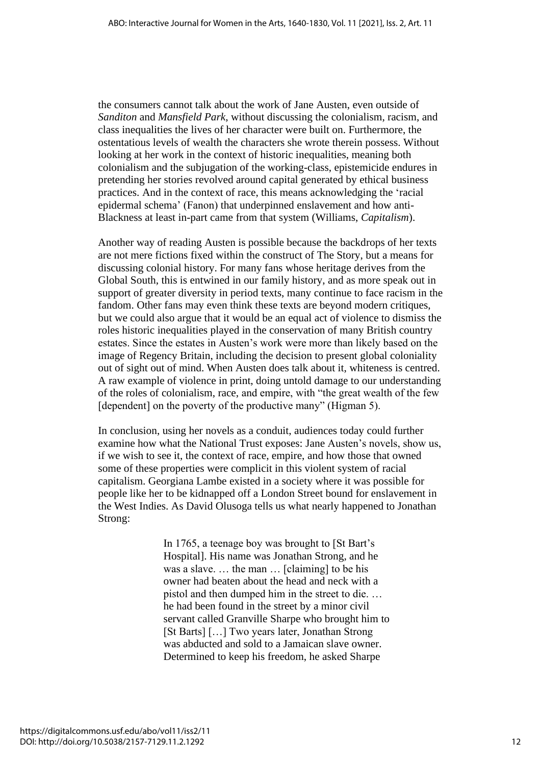the consumers cannot talk about the work of Jane Austen, even outside of *Sanditon* and *Mansfield Park*, without discussing the colonialism, racism, and class inequalities the lives of her character were built on. Furthermore, the ostentatious levels of wealth the characters she wrote therein possess. Without looking at her work in the context of historic inequalities, meaning both colonialism and the subjugation of the working-class, epistemicide endures in pretending her stories revolved around capital generated by ethical business practices. And in the context of race, this means acknowledging the 'racial epidermal schema' (Fanon) that underpinned enslavement and how anti-Blackness at least in-part came from that system (Williams, *Capitalism*).

Another way of reading Austen is possible because the backdrops of her texts are not mere fictions fixed within the construct of The Story, but a means for discussing colonial history. For many fans whose heritage derives from the Global South, this is entwined in our family history, and as more speak out in support of greater diversity in period texts, many continue to face racism in the fandom. Other fans may even think these texts are beyond modern critiques, but we could also argue that it would be an equal act of violence to dismiss the roles historic inequalities played in the conservation of many British country estates. Since the estates in Austen's work were more than likely based on the image of Regency Britain, including the decision to present global coloniality out of sight out of mind. When Austen does talk about it, whiteness is centred. A raw example of violence in print, doing untold damage to our understanding of the roles of colonialism, race, and empire, with "the great wealth of the few [dependent] on the poverty of the productive many" (Higman 5).

In conclusion, using her novels as a conduit, audiences today could further examine how what the National Trust exposes: Jane Austen's novels, show us, if we wish to see it, the context of race, empire, and how those that owned some of these properties were complicit in this violent system of racial capitalism. Georgiana Lambe existed in a society where it was possible for people like her to be kidnapped off a London Street bound for enslavement in the West Indies. As David Olusoga tells us what nearly happened to Jonathan Strong:

> In 1765, a teenage boy was brought to [St Bart's Hospital]. His name was Jonathan Strong, and he was a slave. … the man … [claiming] to be his owner had beaten about the head and neck with a pistol and then dumped him in the street to die. … he had been found in the street by a minor civil servant called Granville Sharpe who brought him to [St Barts] […] Two years later, Jonathan Strong was abducted and sold to a Jamaican slave owner. Determined to keep his freedom, he asked Sharpe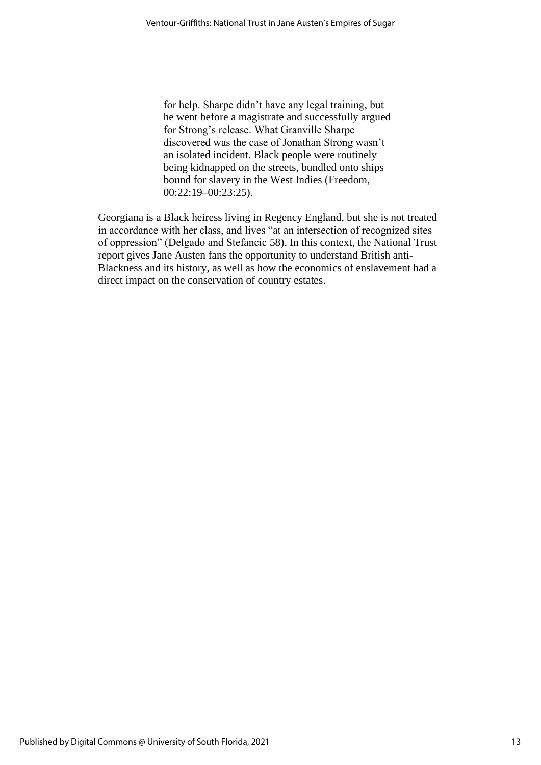for help. Sharpe didn't have any legal training, but he went before a magistrate and successfully argued for Strong's release. What Granville Sharpe discovered was the case of Jonathan Strong wasn't an isolated incident. Black people were routinely being kidnapped on the streets, bundled onto ships bound for slavery in the West Indies (Freedom, 00:22:19–00:23:25).

Georgiana is a Black heiress living in Regency England, but she is not treated in accordance with her class, and lives "at an intersection of recognized sites of oppression" (Delgado and Stefancic 58). In this context, the National Trust report gives Jane Austen fans the opportunity to understand British anti-Blackness and its history, as well as how the economics of enslavement had a direct impact on the conservation of country estates.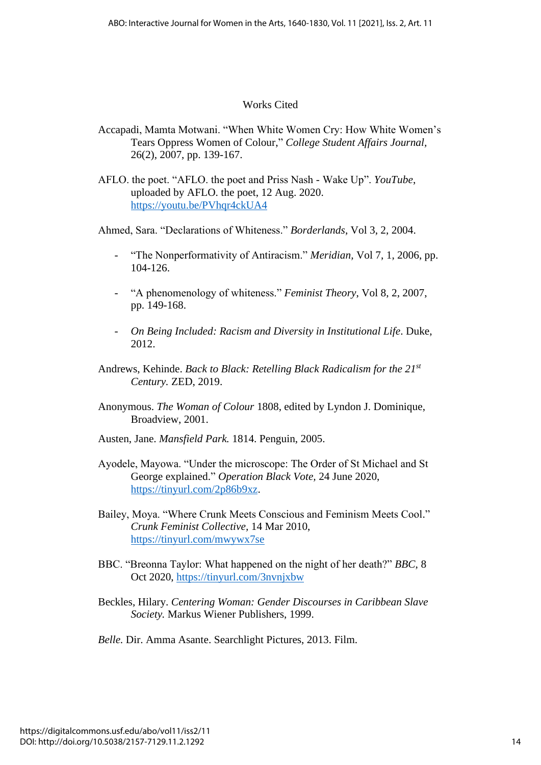## Works Cited

- Accapadi, Mamta Motwani. "When White Women Cry: How White Women's Tears Oppress Women of Colour," *College Student Affairs Journal,*  26(2), 2007, pp. 139-167.
- AFLO. the poet. "AFLO. the poet and Priss Nash Wake Up". *YouTube*, uploaded by AFLO. the poet, 12 Aug. 2020. <https://youtu.be/PVhqr4ckUA4>

Ahmed, Sara. "Declarations of Whiteness." *Borderlands*, Vol 3, 2, 2004.

- "The Nonperformativity of Antiracism." *Meridian,* Vol 7, 1, 2006, pp. 104-126.
- "A phenomenology of whiteness." *Feminist Theory*, Vol 8, 2, 2007, pp. 149-168.
- *On Being Included: Racism and Diversity in Institutional Life*. Duke, 2012.
- Andrews, Kehinde. *Back to Black: Retelling Black Radicalism for the 21st Century.* ZED, 2019.
- Anonymous. *The Woman of Colour* 1808, edited by Lyndon J. Dominique, Broadview, 2001.
- Austen, Jane. *Mansfield Park.* 1814. Penguin, 2005.
- Ayodele, Mayowa. "Under the microscope: The Order of St Michael and St George explained." *Operation Black Vote,* 24 June 2020, [https://tinyurl.com/2p86b9xz.](https://tinyurl.com/2p86b9xz)
- Bailey, Moya. "Where Crunk Meets Conscious and Feminism Meets Cool." *Crunk Feminist Collective,* 14 Mar 2010, <https://tinyurl.com/mwywx7se>
- BBC. "Breonna Taylor: What happened on the night of her death?" *BBC*, 8 Oct 2020,<https://tinyurl.com/3nvnjxbw>
- Beckles, Hilary. *Centering Woman: Gender Discourses in Caribbean Slave Society.* Markus Wiener Publishers, 1999.
- *Belle.* Dir. Amma Asante. Searchlight Pictures, 2013. Film.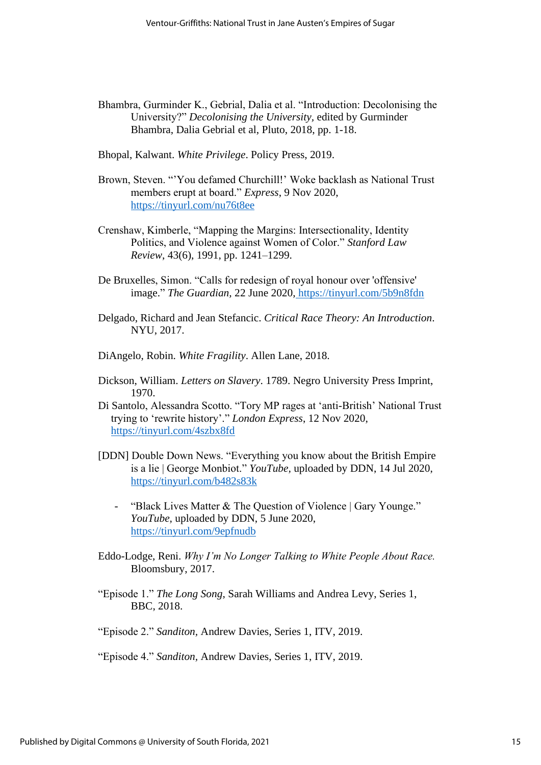- Bhambra, Gurminder K., Gebrial, Dalia et al. "Introduction: Decolonising the University?" *Decolonising the University,* edited by Gurminder Bhambra, Dalia Gebrial et al, Pluto, 2018, pp. 1-18.
- Bhopal, Kalwant. *White Privilege*. Policy Press, 2019.
- Brown, Steven. "'You defamed Churchill!' Woke backlash as National Trust members erupt at board." *Express*, 9 Nov 2020, <https://tinyurl.com/nu76t8ee>
- Crenshaw, Kimberle, "Mapping the Margins: Intersectionality, Identity Politics, and Violence against Women of Color." *Stanford Law Review*, 43(6), 1991, pp. 1241–1299.
- De Bruxelles, Simon. "Calls for redesign of royal honour over 'offensive' image." *The Guardian,* 22 June 2020, https://tinyurl.com/5b9n8fdn
- Delgado, Richard and Jean Stefancic. *Critical Race Theory: An Introduction*. NYU, 2017.
- DiAngelo, Robin. *White Fragility*. Allen Lane, 2018.
- Dickson, William. *Letters on Slavery*. 1789. Negro University Press Imprint, 1970.
- Di Santolo, Alessandra Scotto. "Tory MP rages at 'anti-British' National Trust trying to 'rewrite history'." *London Express*, 12 Nov 2020, <https://tinyurl.com/4szbx8fd>
- [DDN] Double Down News. "Everything you know about the British Empire is a lie | George Monbiot." *YouTube,* uploaded by DDN, 14 Jul 2020, <https://tinyurl.com/b482s83k>
	- "Black Lives Matter & The Question of Violence | Gary Younge." *YouTube,* uploaded by DDN, 5 June 2020, <https://tinyurl.com/9epfnudb>
- Eddo-Lodge, Reni. *Why I'm No Longer Talking to White People About Race.*  Bloomsbury, 2017.
- "Episode 1." *The Long Song*, Sarah Williams and Andrea Levy, Series 1, BBC, 2018.
- "Episode 2." *Sanditon,* Andrew Davies, Series 1, ITV, 2019.

<sup>&</sup>quot;Episode 4." *Sanditon,* Andrew Davies, Series 1, ITV, 2019.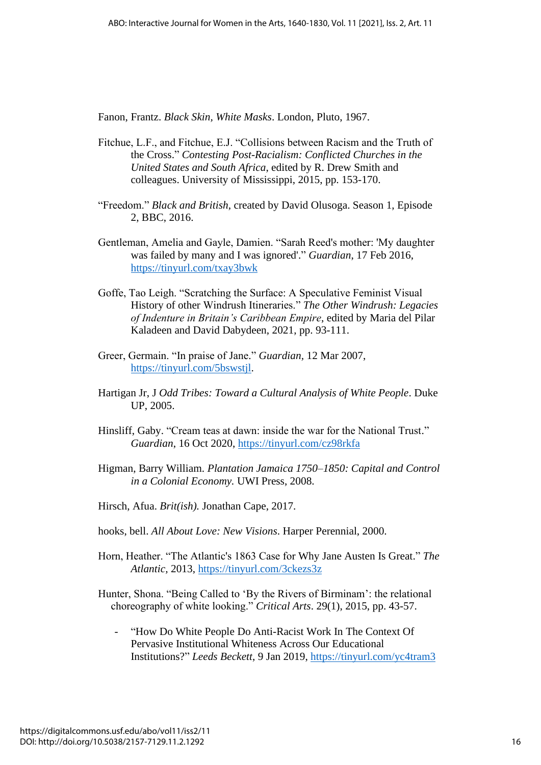Fanon, Frantz. *Black Skin, White Masks*. London, Pluto, 1967.

- Fitchue, L.F., and Fitchue, E.J. "Collisions between Racism and the Truth of the Cross." *Contesting Post-Racialism: Conflicted Churches in the United States and South Africa*, edited by R. Drew Smith and colleagues. University of Mississippi, 2015, pp. 153-170.
- "Freedom." *Black and British*, created by David Olusoga. Season 1, Episode 2, BBC, 2016.
- Gentleman, Amelia and Gayle, Damien. "Sarah Reed's mother: 'My daughter was failed by many and I was ignored'." *Guardian*, 17 Feb 2016, <https://tinyurl.com/txay3bwk>
- Goffe, Tao Leigh. "Scratching the Surface: A Speculative Feminist Visual History of other Windrush Itineraries." *The Other Windrush: Legacies of Indenture in Britain's Caribbean Empire*, edited by Maria del Pilar Kaladeen and David Dabydeen, 2021, pp. 93-111.
- Greer, Germain. "In praise of Jane." *Guardian,* 12 Mar 2007, [https://tinyurl.com/5bswstjl.](https://tinyurl.com/5bswstjl)
- Hartigan Jr, J *Odd Tribes: Toward a Cultural Analysis of White People*. Duke UP, 2005.
- Hinsliff, Gaby. "Cream teas at dawn: inside the war for the National Trust." *Guardian*, 16 Oct 2020,<https://tinyurl.com/cz98rkfa>
- Higman, Barry William. *Plantation Jamaica 1750–1850: Capital and Control in a Colonial Economy.* UWI Press, 2008.
- Hirsch, Afua. *Brit(ish).* Jonathan Cape, 2017.
- hooks, bell. *All About Love: New Visions*. Harper Perennial, 2000.
- Horn, Heather. "The Atlantic's 1863 Case for Why Jane Austen Is Great." *The Atlantic,* 2013, <https://tinyurl.com/3ckezs3z>

Hunter, Shona. "Being Called to 'By the Rivers of Birminam': the relational choreography of white looking." *Critical Arts*. 29(1), 2015, pp. 43-57.

- "How Do White People Do Anti-Racist Work In The Context Of Pervasive Institutional Whiteness Across Our Educational Institutions?" *Leeds Beckett*, 9 Jan 2019,<https://tinyurl.com/yc4tram3>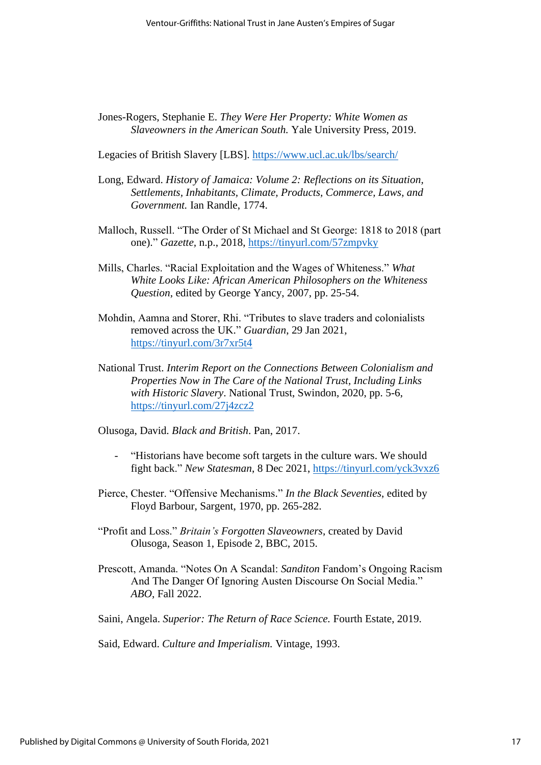Jones-Rogers, Stephanie E. *They Were Her Property: White Women as Slaveowners in the American South.* Yale University Press, 2019.

Legacies of British Slavery [LBS].<https://www.ucl.ac.uk/lbs/search/>

- Long, Edward. *History of Jamaica: Volume 2: Reflections on its Situation, Settlements, Inhabitants, Climate, Products, Commerce, Laws, and Government.* Ian Randle, 1774.
- Malloch, Russell. "The Order of St Michael and St George: 1818 to 2018 (part one)." *Gazette,* n.p., 2018,<https://tinyurl.com/57zmpvky>
- Mills, Charles. "Racial Exploitation and the Wages of Whiteness." *What White Looks Like: African American Philosophers on the Whiteness Question*, edited by George Yancy, 2007, pp. 25-54.
- Mohdin, Aamna and Storer, Rhi. "Tributes to slave traders and colonialists removed across the UK." *Guardian*, 29 Jan 2021, <https://tinyurl.com/3r7xr5t4>
- National Trust. *Interim Report on the Connections Between Colonialism and Properties Now in The Care of the National Trust, Including Links with Historic Slavery*. National Trust, Swindon, 2020, pp. 5-6, <https://tinyurl.com/27j4zcz2>

Olusoga, David. *Black and British*. Pan, 2017.

- "Historians have become soft targets in the culture wars. We should fight back." New Statesman, 8 Dec 2021,<https://tinyurl.com/yck3vxz6>
- Pierce, Chester. "Offensive Mechanisms." *In the Black Seventies*, edited by Floyd Barbour, Sargent, 1970, pp. 265-282.
- "Profit and Loss." *Britain's Forgotten Slaveowners*, created by David Olusoga, Season 1, Episode 2, BBC, 2015.
- Prescott, Amanda. "Notes On A Scandal: *Sanditon* Fandom's Ongoing Racism And The Danger Of Ignoring Austen Discourse On Social Media." *ABO*, Fall 2022.

Saini, Angela. *Superior: The Return of Race Science.* Fourth Estate, 2019.

Said, Edward. *Culture and Imperialism.* Vintage, 1993.